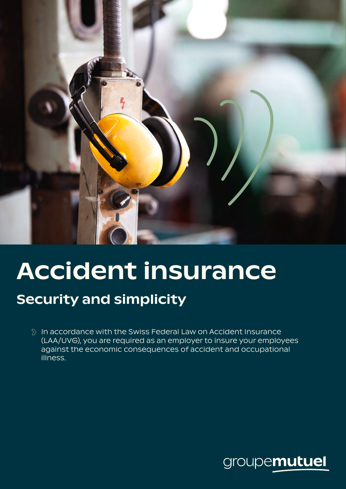

# Accident insurance

# Security and simplicity

 $\Diamond$  In accordance with the Swiss Federal Law on Accident Insurance (LAA/UVG), you are required as an employer to insure your employees against the economic consequences of accident and occupational illness.

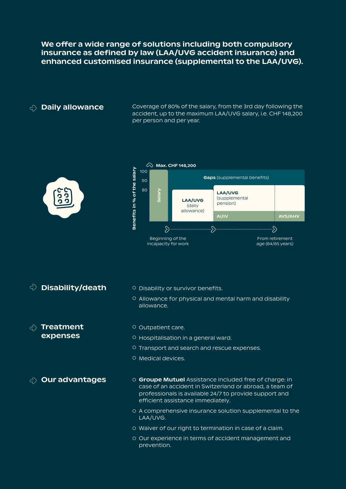We offer a wide range of solutions including both compulsory insurance as defined by law (LAA/UVG accident insurance) and enhanced customised insurance (supplemental to the LAA/UVG).

 $\sigma_{\rm c}$  Daily allowance Coverage of 80% of the salary, from the 3rd day following the accident, up to the maximum LAA/UVG salary, i.e. CHF 148,200 per person and per year.





- $\Diamond$  Disability/death  $\Diamond$  Disability or survivor benefits.
	- Allowance for physical and mental harm and disability allowance.

#### Treatment expenses

- Outpatient care.
- Hospitalisation in a general ward.
- Transport and search and rescue expenses.
- Medical devices.

- $\sigma_{\rm c}$  Our advantages  $\sigma_{\rm c}$  Groupe Mutuel Assistance included free of charge: in case of an accident in Switzerland or abroad, a team of professionals is available 24/7 to provide support and efficient assistance immediately.
	- A comprehensive insurance solution supplemental to the LAA/UVG.
	- Waiver of our right to termination in case of a claim.
	- Our experience in terms of accident management and prevention.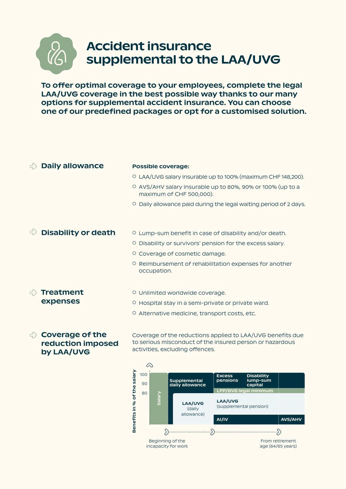

# Accident insurance supplemental to the LAA/UVG

To offer optimal coverage to your employees, complete the legal LAA/UVG coverage in the best possible way thanks to our many options for supplemental accident insurance. You can choose one of our predefined packages or opt for a customised solution.

| <b>Daily allowance</b>                                    | <b>Possible coverage:</b>                                                                                                                                 |  |  |
|-----------------------------------------------------------|-----------------------------------------------------------------------------------------------------------------------------------------------------------|--|--|
|                                                           | O LAA/UVG salary insurable up to 100% (maximum CHF 148,200).                                                                                              |  |  |
|                                                           | O AVS/AHV salary insurable up to 80%, 90% or 100% (up to a<br>maximum of CHF 500,000).                                                                    |  |  |
|                                                           | <sup>O</sup> Daily allowance paid during the legal waiting period of 2 days.                                                                              |  |  |
| <b>Disability or death</b>                                | O Lump-sum benefit in case of disability and/or death.                                                                                                    |  |  |
|                                                           | O Disability or survivors' pension for the excess salary.                                                                                                 |  |  |
|                                                           | O Coverage of cosmetic damage.                                                                                                                            |  |  |
|                                                           | O Reimbursement of rehabilitation expenses for another<br>occupation.                                                                                     |  |  |
| <b>Treatment</b><br>expenses                              | O Unlimited worldwide coverage.                                                                                                                           |  |  |
|                                                           | O Hospital stay in a semi-private or private ward.                                                                                                        |  |  |
|                                                           | O Alternative medicine, transport costs, etc.                                                                                                             |  |  |
| <b>Coverage of the</b><br>reduction imposed<br>by LAA/UVG | Coverage of the reductions applied to LAA/UVG benefits due<br>to serious misconduct of the insured person or hazardous<br>activities, excluding offences. |  |  |
|                                                           | ≪<br>salary<br>100<br><b>Excess</b><br>Disabilitv<br>pensions<br>Supplemental<br>lump-sum<br>nn                                                           |  |  |